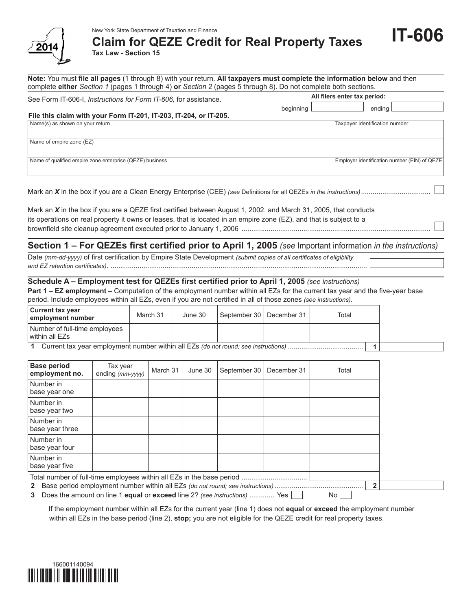

# **Claim for QEZE Credit for Real Property Taxes**

**IT-606**

**Tax Law - Section 15**

|                                                                                                                                                                                                                                                                                                                                                                                                                                                                                                                                                        | See Form IT-606-I, Instructions for Form IT-606, for assistance. |          |          |         |              |                                                                                                  | All filers enter tax period: |                                                                                                              |
|--------------------------------------------------------------------------------------------------------------------------------------------------------------------------------------------------------------------------------------------------------------------------------------------------------------------------------------------------------------------------------------------------------------------------------------------------------------------------------------------------------------------------------------------------------|------------------------------------------------------------------|----------|----------|---------|--------------|--------------------------------------------------------------------------------------------------|------------------------------|--------------------------------------------------------------------------------------------------------------|
|                                                                                                                                                                                                                                                                                                                                                                                                                                                                                                                                                        |                                                                  |          |          |         |              | beginning                                                                                        |                              | ending                                                                                                       |
| File this claim with your Form IT-201, IT-203, IT-204, or IT-205.<br>Name(s) as shown on your return                                                                                                                                                                                                                                                                                                                                                                                                                                                   |                                                                  |          |          |         |              |                                                                                                  |                              | Taxpayer identification number                                                                               |
| Name of empire zone (EZ)                                                                                                                                                                                                                                                                                                                                                                                                                                                                                                                               |                                                                  |          |          |         |              |                                                                                                  |                              |                                                                                                              |
| Name of qualified empire zone enterprise (QEZE) business                                                                                                                                                                                                                                                                                                                                                                                                                                                                                               |                                                                  |          |          |         |              |                                                                                                  |                              | Employer identification number (EIN) of QEZE                                                                 |
|                                                                                                                                                                                                                                                                                                                                                                                                                                                                                                                                                        |                                                                  |          |          |         |              |                                                                                                  |                              |                                                                                                              |
| Mark an X in the box if you are a Clean Energy Enterprise (CEE) (see Definitions for all QEZEs in the instructions)                                                                                                                                                                                                                                                                                                                                                                                                                                    |                                                                  |          |          |         |              |                                                                                                  |                              |                                                                                                              |
| Mark an X in the box if you are a QEZE first certified between August 1, 2002, and March 31, 2005, that conducts                                                                                                                                                                                                                                                                                                                                                                                                                                       |                                                                  |          |          |         |              |                                                                                                  |                              |                                                                                                              |
| its operations on real property it owns or leases, that is located in an empire zone (EZ), and that is subject to a                                                                                                                                                                                                                                                                                                                                                                                                                                    |                                                                  |          |          |         |              |                                                                                                  |                              |                                                                                                              |
|                                                                                                                                                                                                                                                                                                                                                                                                                                                                                                                                                        |                                                                  |          |          |         |              |                                                                                                  |                              |                                                                                                              |
|                                                                                                                                                                                                                                                                                                                                                                                                                                                                                                                                                        |                                                                  |          |          |         |              |                                                                                                  |                              | Section 1 - For QEZEs first certified prior to April 1, 2005 (see Important information in the instructions) |
| Date (mm-dd-yyyy) of first certification by Empire State Development (submit copies of all certificates of eligibility                                                                                                                                                                                                                                                                                                                                                                                                                                 |                                                                  |          |          |         |              |                                                                                                  |                              |                                                                                                              |
|                                                                                                                                                                                                                                                                                                                                                                                                                                                                                                                                                        |                                                                  |          |          |         |              |                                                                                                  |                              |                                                                                                              |
|                                                                                                                                                                                                                                                                                                                                                                                                                                                                                                                                                        |                                                                  |          |          |         |              |                                                                                                  |                              |                                                                                                              |
|                                                                                                                                                                                                                                                                                                                                                                                                                                                                                                                                                        |                                                                  |          |          |         |              | Schedule A - Employment test for QEZEs first certified prior to April 1, 2005 (see instructions) |                              |                                                                                                              |
|                                                                                                                                                                                                                                                                                                                                                                                                                                                                                                                                                        |                                                                  |          |          |         |              |                                                                                                  |                              |                                                                                                              |
|                                                                                                                                                                                                                                                                                                                                                                                                                                                                                                                                                        |                                                                  | March 31 |          | June 30 | September 30 | December 31                                                                                      | Total                        |                                                                                                              |
|                                                                                                                                                                                                                                                                                                                                                                                                                                                                                                                                                        |                                                                  |          |          |         |              |                                                                                                  |                              |                                                                                                              |
| Current tax year employment number within all EZs (do not round; see instructions)                                                                                                                                                                                                                                                                                                                                                                                                                                                                     |                                                                  |          |          |         |              |                                                                                                  |                              | 1                                                                                                            |
|                                                                                                                                                                                                                                                                                                                                                                                                                                                                                                                                                        | Tax year<br>ending (mm-yyyy)                                     |          | March 31 | June 30 | September 30 | December 31                                                                                      | Total                        |                                                                                                              |
|                                                                                                                                                                                                                                                                                                                                                                                                                                                                                                                                                        |                                                                  |          |          |         |              |                                                                                                  |                              |                                                                                                              |
|                                                                                                                                                                                                                                                                                                                                                                                                                                                                                                                                                        |                                                                  |          |          |         |              |                                                                                                  |                              |                                                                                                              |
|                                                                                                                                                                                                                                                                                                                                                                                                                                                                                                                                                        |                                                                  |          |          |         |              |                                                                                                  |                              |                                                                                                              |
| 1.                                                                                                                                                                                                                                                                                                                                                                                                                                                                                                                                                     |                                                                  |          |          |         |              |                                                                                                  |                              |                                                                                                              |
| Part 1 - EZ employment - Computation of the employment number within all EZs for the current tax year and the five-year base<br>period. Include employees within all EZs, even if you are not certified in all of those zones (see instructions).<br><b>Current tax year</b><br>employment number<br>Number of full-time employees<br>within all EZs<br><b>Base period</b><br>employment no.<br>Number in<br>base year one<br>Number in<br>base year two<br>Number in<br>base year three<br>Number in<br>base year four<br>Number in<br>base year five |                                                                  |          |          |         |              |                                                                                                  |                              |                                                                                                              |

 If the employment number within all EZs for the current year (line 1) does not **equal** or **exceed** the employment number within all EZs in the base period (line 2), **stop;** you are not eligible for the QEZE credit for real property taxes.

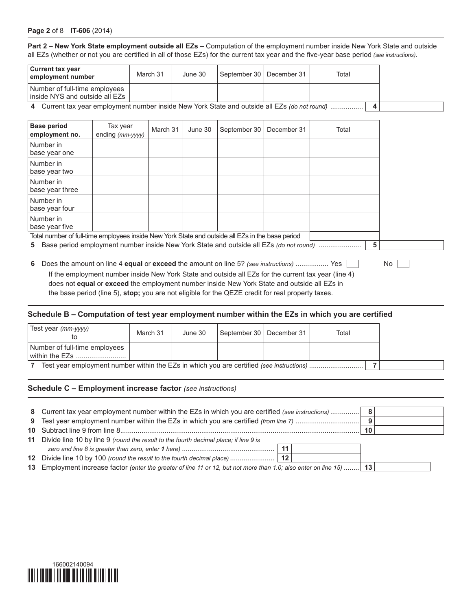#### **Page 2** of 8 **IT-606** (2014)

**Part 2 – New York State employment outside all EZs –** Computation of the employment number inside New York State and outside all EZs (whether or not you are certified in all of those EZs) for the current tax year and the five-year base period *(see instructions)*.

| <b>Current tax year</b><br>employment number                                                  | March 31 | June 30 | September 30   December 31 | Total |  |
|-----------------------------------------------------------------------------------------------|----------|---------|----------------------------|-------|--|
| Number of full-time employees<br>l inside NYS and outside all EZs I                           |          |         |                            |       |  |
| 4 Current tax year employment number inside New York State and outside all EZs (do not round) |          |         |                            |       |  |

**4** Current tax year employment number inside New York State and outside all EZs *(do not round)* ................. **4**

| <b>Base period</b><br>employment no.                                                             | Tax year<br>ending (mm-yyyy)                                                           | March 31 | June 30 | September 30 | December 31 | Total |   |
|--------------------------------------------------------------------------------------------------|----------------------------------------------------------------------------------------|----------|---------|--------------|-------------|-------|---|
| Number in<br>base year one                                                                       |                                                                                        |          |         |              |             |       |   |
| Number in<br>base year two                                                                       |                                                                                        |          |         |              |             |       |   |
| Number in<br>base year three                                                                     |                                                                                        |          |         |              |             |       |   |
| Number in<br>base year four                                                                      |                                                                                        |          |         |              |             |       |   |
| Number in<br>base year five                                                                      |                                                                                        |          |         |              |             |       |   |
| Total number of full-time employees inside New York State and outside all EZs in the base period |                                                                                        |          |         |              |             |       |   |
| 5.                                                                                               | Base period employment number inside New York State and outside all EZs (do not round) |          |         |              |             |       | 5 |
|                                                                                                  |                                                                                        |          |         |              |             |       |   |

**6** Does the amount on line 4 **equal** or **exceed** the amount on line 5? *(see instructions)* ................... Yes  $\vert$  No  $\vert$  If the employment number inside New York State and outside all EZs for the current tax year (line 4) does not **equal** or **exceed** the employment number inside New York State and outside all EZs in the base period (line 5), **stop;** you are not eligible for the QEZE credit for real property taxes.

#### **Schedule B – Computation of test year employment number within the EZs in which you are certified**

| <sub>I</sub> Test year (mm-yyyy) | March 31 | June 30 | September 30   December 31 | Total |  |
|----------------------------------|----------|---------|----------------------------|-------|--|
| Number of full-time employees    |          |         |                            |       |  |
| within the EZs                   |          |         |                            |       |  |
|                                  |          |         |                            |       |  |

#### **Schedule C – Employment increase factor** *(see instructions)*

| 8 Current tax year employment number within the EZs in which you are certified (see instructions)                      | 8  |  |
|------------------------------------------------------------------------------------------------------------------------|----|--|
|                                                                                                                        | 9  |  |
|                                                                                                                        | 10 |  |
| 11 Divide line 10 by line 9 (round the result to the fourth decimal place; if line 9 is                                |    |  |
| 11                                                                                                                     |    |  |
|                                                                                                                        |    |  |
| 13 Employment increase factor (enter the greater of line 11 or 12, but not more than 1.0; also enter on line 15)    13 |    |  |

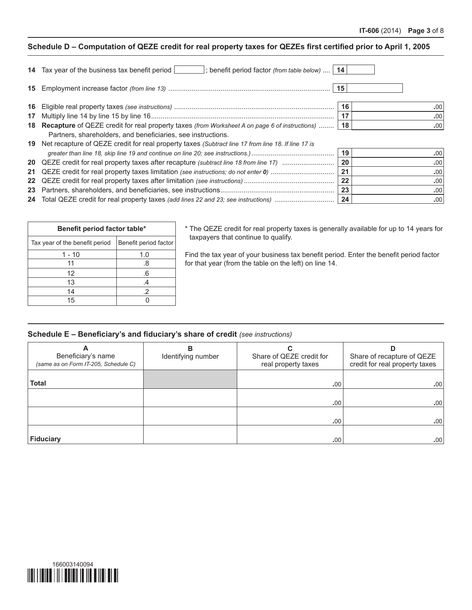### **Schedule D – Computation of QEZE credit for real property taxes for QEZEs first certified prior to April 1, 2005**

|                 | 14 Tax year of the business tax benefit period<br>; benefit period factor (from table below)    14    |    |                  |
|-----------------|-------------------------------------------------------------------------------------------------------|----|------------------|
|                 |                                                                                                       | 15 |                  |
| 16              |                                                                                                       | 16 | .00              |
| 17              |                                                                                                       | 17 | .00              |
|                 | 18 Recapture of QEZE credit for real property taxes (from Worksheet A on page 6 of instructions)      | 18 | .00              |
|                 | Partners, shareholders, and beneficiaries, see instructions.                                          |    |                  |
|                 | 19 Net recapture of QEZE credit for real property taxes (Subtract line 17 from line 18. If line 17 is |    |                  |
|                 |                                                                                                       | 19 | .00              |
|                 | 20 QEZE credit for real property taxes after recapture (subtract line 18 from line 17)                | 20 | .00              |
| 21              |                                                                                                       | 21 | .00              |
| 22 <sub>2</sub> |                                                                                                       | 22 | .00              |
| 23              |                                                                                                       | 23 | .00.             |
|                 |                                                                                                       | 24 | .00 <sub>1</sub> |

| Benefit period factor table*   |                       |  |  |  |  |  |  |  |
|--------------------------------|-----------------------|--|--|--|--|--|--|--|
| Tax year of the benefit period | Benefit period factor |  |  |  |  |  |  |  |
| 1 - 10                         | 1.0                   |  |  |  |  |  |  |  |
| 11                             | .8                    |  |  |  |  |  |  |  |
| 12                             | .6                    |  |  |  |  |  |  |  |
| 13                             |                       |  |  |  |  |  |  |  |
| 14                             | .2                    |  |  |  |  |  |  |  |
| 15                             |                       |  |  |  |  |  |  |  |

\* The QEZE credit for real property taxes is generally available for up to 14 years for taxpayers that continue to qualify.

Find the tax year of your business tax benefit period. Enter the benefit period factor for that year (from the table on the left) on line 14.

#### **Schedule E – Beneficiary's and fiduciary's share of credit** *(see instructions)*

| Beneficiary's name<br>(same as on Form IT-205, Schedule C) | в<br>Identifying number | Share of QEZE credit for<br>real property taxes | D<br>Share of recapture of QEZE<br>credit for real property taxes |
|------------------------------------------------------------|-------------------------|-------------------------------------------------|-------------------------------------------------------------------|
| <b>Total</b>                                               |                         | .00                                             | .00.                                                              |
|                                                            |                         | .00                                             | .00.                                                              |
|                                                            |                         | .00                                             | .00.                                                              |
| <b>Fiduciary</b>                                           |                         | .00                                             | .00                                                               |

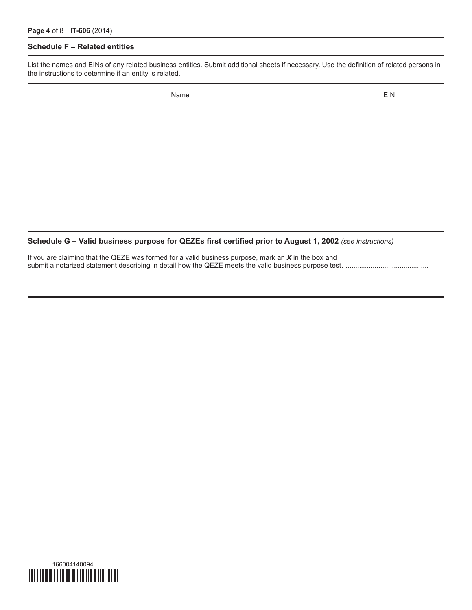#### **Schedule F – Related entities**

List the names and EINs of any related business entities. Submit additional sheets if necessary. Use the definition of related persons in the instructions to determine if an entity is related.

| Name | EIN |
|------|-----|
|      |     |
|      |     |
|      |     |
|      |     |
|      |     |
|      |     |

#### **Schedule G – Valid business purpose for QEZEs first certified prior to August 1, 2002** *(see instructions)*

If you are claiming that the QEZE was formed for a valid business purpose, mark an *X* in the box and submit a notarized statement describing in detail how the QEZE meets the valid business purpose test. .

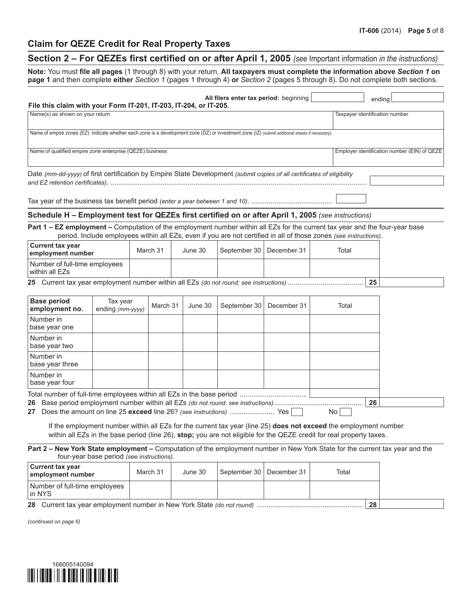# **Claim for QEZE Credit for Real Property Taxes**

## **Section 2 – For QEZEs first certified on or after April 1, 2005** *(see* Important information *in the instructions)*

**Note:** You must **file all pages** (1 through 8) with your return. **All taxpayers must complete the information above** *Section 1* **on page 1** and then complete **either** *Section 1* (pages 1 through 4) **or** *Section 2* (pages 5 through 8). Do not complete both sections.

| Name(s) as shown on your return                                                                                                                                                                                                                |          |                              |                                                       |                    |                                                                   |  |                                        |      |                                                                                                                                                                                                                                                                                                                                                                                                                                                                                                                                      |  |  |  |
|------------------------------------------------------------------------------------------------------------------------------------------------------------------------------------------------------------------------------------------------|----------|------------------------------|-------------------------------------------------------|--------------------|-------------------------------------------------------------------|--|----------------------------------------|------|--------------------------------------------------------------------------------------------------------------------------------------------------------------------------------------------------------------------------------------------------------------------------------------------------------------------------------------------------------------------------------------------------------------------------------------------------------------------------------------------------------------------------------------|--|--|--|
| Name of empire zones (EZ): Indicate whether each zone is a development zone (DZ) or investment zone (IZ) (submit additional sheets if necessary).                                                                                              |          |                              |                                                       |                    |                                                                   |  |                                        |      |                                                                                                                                                                                                                                                                                                                                                                                                                                                                                                                                      |  |  |  |
| Name of qualified empire zone enterprise (QEZE) business<br>Employer identification number (EIN) of QEZE                                                                                                                                       |          |                              |                                                       |                    |                                                                   |  |                                        |      |                                                                                                                                                                                                                                                                                                                                                                                                                                                                                                                                      |  |  |  |
|                                                                                                                                                                                                                                                |          |                              |                                                       |                    |                                                                   |  |                                        |      |                                                                                                                                                                                                                                                                                                                                                                                                                                                                                                                                      |  |  |  |
| Date (mm-dd-yyyy) of first certification by Empire State Development (submit copies of all certificates of eligibility                                                                                                                         |          |                              |                                                       |                    |                                                                   |  |                                        |      |                                                                                                                                                                                                                                                                                                                                                                                                                                                                                                                                      |  |  |  |
|                                                                                                                                                                                                                                                |          |                              |                                                       |                    |                                                                   |  |                                        |      |                                                                                                                                                                                                                                                                                                                                                                                                                                                                                                                                      |  |  |  |
|                                                                                                                                                                                                                                                |          |                              |                                                       |                    |                                                                   |  |                                        |      |                                                                                                                                                                                                                                                                                                                                                                                                                                                                                                                                      |  |  |  |
|                                                                                                                                                                                                                                                |          |                              |                                                       |                    |                                                                   |  |                                        |      |                                                                                                                                                                                                                                                                                                                                                                                                                                                                                                                                      |  |  |  |
|                                                                                                                                                                                                                                                | March 31 |                              |                                                       | September 30       | December 31                                                       |  | Total                                  |      |                                                                                                                                                                                                                                                                                                                                                                                                                                                                                                                                      |  |  |  |
| Number of full-time employees                                                                                                                                                                                                                  |          |                              |                                                       |                    |                                                                   |  |                                        |      |                                                                                                                                                                                                                                                                                                                                                                                                                                                                                                                                      |  |  |  |
|                                                                                                                                                                                                                                                |          |                              |                                                       |                    |                                                                   |  |                                        | 25   |                                                                                                                                                                                                                                                                                                                                                                                                                                                                                                                                      |  |  |  |
|                                                                                                                                                                                                                                                |          |                              | June 30                                               | September 30       | December 31                                                       |  | Total                                  |      |                                                                                                                                                                                                                                                                                                                                                                                                                                                                                                                                      |  |  |  |
|                                                                                                                                                                                                                                                |          |                              |                                                       |                    |                                                                   |  |                                        |      |                                                                                                                                                                                                                                                                                                                                                                                                                                                                                                                                      |  |  |  |
|                                                                                                                                                                                                                                                |          |                              |                                                       |                    |                                                                   |  |                                        |      |                                                                                                                                                                                                                                                                                                                                                                                                                                                                                                                                      |  |  |  |
|                                                                                                                                                                                                                                                |          |                              |                                                       |                    |                                                                   |  |                                        |      |                                                                                                                                                                                                                                                                                                                                                                                                                                                                                                                                      |  |  |  |
|                                                                                                                                                                                                                                                |          |                              |                                                       |                    |                                                                   |  |                                        |      |                                                                                                                                                                                                                                                                                                                                                                                                                                                                                                                                      |  |  |  |
|                                                                                                                                                                                                                                                |          |                              |                                                       |                    |                                                                   |  |                                        | 26   |                                                                                                                                                                                                                                                                                                                                                                                                                                                                                                                                      |  |  |  |
| 27<br>If the employment number within all EZs for the current tax year (line 25) does not exceed the employment number<br>within all EZs in the base period (line 26), stop; you are not eligible for the QEZE credit for real property taxes. |          |                              |                                                       |                    |                                                                   |  |                                        |      |                                                                                                                                                                                                                                                                                                                                                                                                                                                                                                                                      |  |  |  |
|                                                                                                                                                                                                                                                |          |                              |                                                       |                    |                                                                   |  |                                        |      |                                                                                                                                                                                                                                                                                                                                                                                                                                                                                                                                      |  |  |  |
|                                                                                                                                                                                                                                                | March 31 |                              |                                                       | September 30       | December 31                                                       |  | Total                                  |      |                                                                                                                                                                                                                                                                                                                                                                                                                                                                                                                                      |  |  |  |
| Number of full-time employees                                                                                                                                                                                                                  |          |                              |                                                       |                    |                                                                   |  |                                        |      |                                                                                                                                                                                                                                                                                                                                                                                                                                                                                                                                      |  |  |  |
|                                                                                                                                                                                                                                                |          | Tax year<br>ending (mm-yyyy) | March 31<br>four-year base period (see instructions). | June 30<br>June 30 | File this claim with your Form IT-201, IT-203, IT-204, or IT-205. |  | All filers enter tax period: beginning | No l | ending<br>Taxpayer identification number<br>Schedule H - Employment test for QEZEs first certified on or after April 1, 2005 (see instructions)<br>Part 1 - EZ employment - Computation of the employment number within all EZs for the current tax year and the four-year base<br>period. Include employees within all EZs, even if you are not certified in all of those zones (see instructions).<br>Part 2 - New York State employment - Computation of the employment number in New York State for the current tax year and the |  |  |  |

**28** Current tax year employment number in New York State *(do not round)* ....................................................... **28**

*(continued on page 6)*

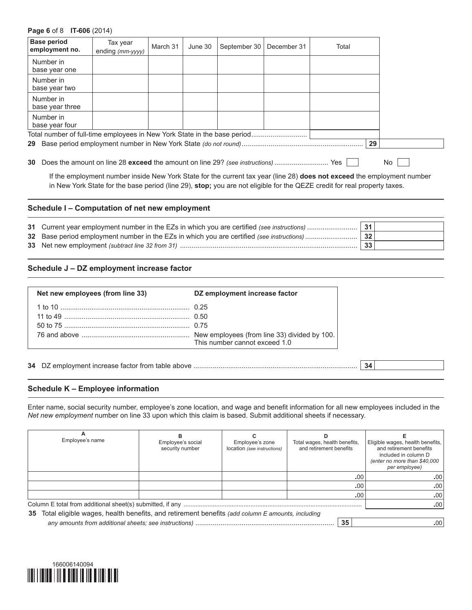#### **Page 6** of 8 **IT-606** (2014)

| <b>Base period</b><br>employment no.                                     | Tax year<br>ending (mm-yyyy) | March 31 | June 30 | September 30 | December 31 | Total |     |
|--------------------------------------------------------------------------|------------------------------|----------|---------|--------------|-------------|-------|-----|
| Number in<br>base year one                                               |                              |          |         |              |             |       |     |
| Number in<br>base year two                                               |                              |          |         |              |             |       |     |
| Number in<br>base year three                                             |                              |          |         |              |             |       |     |
| Number in<br>base year four                                              |                              |          |         |              |             |       |     |
| Total number of full-time employees in New York State in the base period |                              |          |         |              |             |       |     |
|                                                                          |                              |          |         |              |             | 29    |     |
|                                                                          |                              |          |         |              |             |       | No. |

 If the employment number inside New York State for the current tax year (line 28) **does not exceed** the employment number in New York State for the base period (line 29), **stop;** you are not eligible for the QEZE credit for real property taxes.

#### **Schedule I – Computation of net new employment**

|  | 31 |  |
|--|----|--|
|  | 32 |  |
|  | 33 |  |

#### **Schedule J – DZ employment increase factor**

| Net new employees (from line 33) | DZ employment increase factor |
|----------------------------------|-------------------------------|
| 1 to 10 $\ldots$ 0.25            |                               |
|                                  |                               |
|                                  |                               |
|                                  | This number cannot exceed 1.0 |

**34** DZ employment increase factor from table above ..................................................................................... **34**

#### **Schedule K – Employee information**

Enter name, social security number, employee's zone location, and wage and benefit information for all new employees included in the *Net new employment* number on line 33 upon which this claim is based. Submit additional sheets if necessary.

| Employee's name                                                                                    | Employee's social<br>security number | Employee's zone<br>location (see instructions) | Total wages, health benefits,<br>and retirement benefits |  | Eligible wages, health benefits,<br>and retirement benefits<br>included in column D<br>(enter no more than \$40,000)<br>per employee) |  |  |  |
|----------------------------------------------------------------------------------------------------|--------------------------------------|------------------------------------------------|----------------------------------------------------------|--|---------------------------------------------------------------------------------------------------------------------------------------|--|--|--|
|                                                                                                    | .00.                                 |                                                |                                                          |  | .00                                                                                                                                   |  |  |  |
|                                                                                                    | .00.                                 |                                                |                                                          |  | .00                                                                                                                                   |  |  |  |
|                                                                                                    | .00.                                 |                                                | .00                                                      |  |                                                                                                                                       |  |  |  |
|                                                                                                    | .00                                  |                                                |                                                          |  |                                                                                                                                       |  |  |  |
| 35 Total eligible wages, health benefits, and retirement benefits (add column E amounts, including |                                      |                                                |                                                          |  |                                                                                                                                       |  |  |  |
|                                                                                                    | 35                                   |                                                |                                                          |  |                                                                                                                                       |  |  |  |

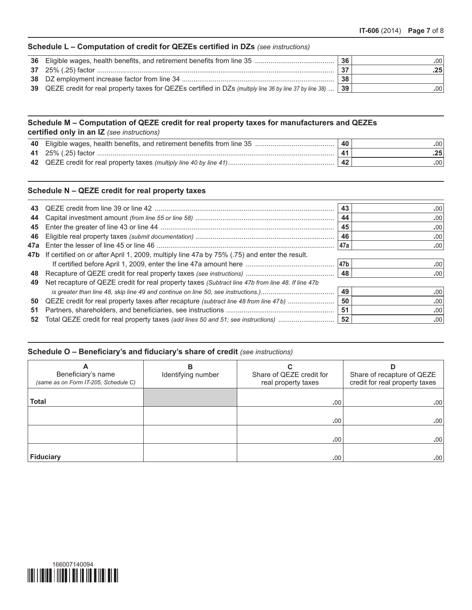## **Schedule L – Computation of credit for QEZEs certified in DZs** *(see instructions)*

|                                                                                                                | 36 | 00٠. |
|----------------------------------------------------------------------------------------------------------------|----|------|
|                                                                                                                |    |      |
|                                                                                                                | 38 |      |
| 39 QEZE credit for real property taxes for QEZEs certified in DZs (multiply line 36 by line 37 by line 38)  39 |    | .00  |

# **Schedule M – Computation of QEZE credit for real property taxes for manufacturers and QEZEs certified only in an IZ** *(see instructions)*

| 40 Eligible wages, health benefits, and retirement benefits from line 35 | 40 |  |
|--------------------------------------------------------------------------|----|--|
| 41 25% (.25) factor                                                      |    |  |
| 42 QEZE credit for real property taxes (multiply line 40 by line 41)     |    |  |

## **Schedule N – QEZE credit for real property taxes**

| 43 |                                                                                                   | 43  | .00. |
|----|---------------------------------------------------------------------------------------------------|-----|------|
| 44 |                                                                                                   | 44  | .00  |
| 45 |                                                                                                   | 45  | .00  |
| 46 |                                                                                                   | 46  | .00  |
|    |                                                                                                   |     | .00  |
|    | 47b If certified on or after April 1, 2009, multiply line 47a by 75% (.75) and enter the result.  |     |      |
|    |                                                                                                   | 47b | .00. |
| 48 |                                                                                                   | 48  | .00  |
| 49 | Net recapture of QEZE credit for real property taxes (Subtract line 47b from line 48. If line 47b |     |      |
|    |                                                                                                   | 49  | .00  |
| 50 | QEZE credit for real property taxes after recapture (subtract line 48 from line 47b)              | 50  | .00  |
| 51 |                                                                                                   | 51  | .00  |
|    |                                                                                                   | 52  | .00. |

## **Schedule O – Beneficiary's and fiduciary's share of credit** *(see instructions)*

| A<br>Beneficiary's name<br>(same as on Form IT-205, Schedule C) | в<br>Identifying number | Share of QEZE credit for<br>real property taxes | Share of recapture of QEZE<br>credit for real property taxes |
|-----------------------------------------------------------------|-------------------------|-------------------------------------------------|--------------------------------------------------------------|
| <b>Total</b>                                                    |                         | .00                                             | .00.                                                         |
|                                                                 |                         | .00                                             | .00                                                          |
|                                                                 |                         | .00                                             | .00                                                          |
| <b>Fiduciary</b>                                                |                         | .00                                             | .00                                                          |